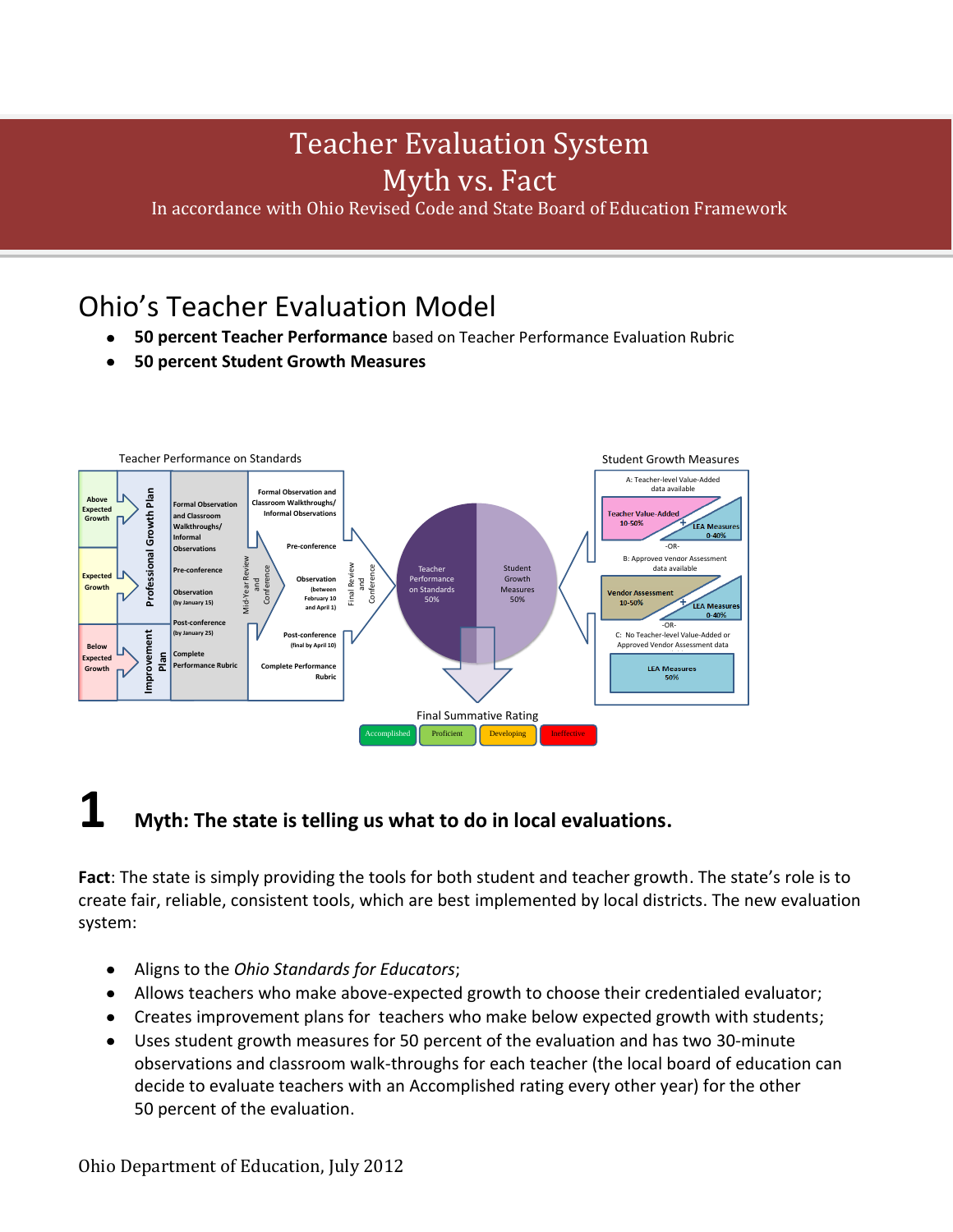## Teacher Evaluation System Myth vs. Fact

In accordance with Ohio Revised Code and State Board of Education Framework

### Ohio's Teacher Evaluation Model

- **50 percent Teacher Performance** based on Teacher Performance Evaluation Rubric  $\bullet$
- **50 percent Student Growth Measures**



## **1 Myth: The state is telling us what to do in local evaluations.**

**Fact**: The state is simply providing the tools for both student and teacher growth. The state's role is to create fair, reliable, consistent tools, which are best implemented by local districts. The new evaluation system:

- Aligns to the *Ohio Standards for Educators*;
- Allows teachers who make above-expected growth to choose their credentialed evaluator;
- Creates improvement plans for teachers who make below expected growth with students;
- Uses student growth measures for 50 percent of the evaluation and has two 30-minute  $\bullet$ observations and classroom walk-throughs for each teacher (the local board of education can decide to evaluate teachers with an Accomplished rating every other year) for the other 50 percent of the evaluation.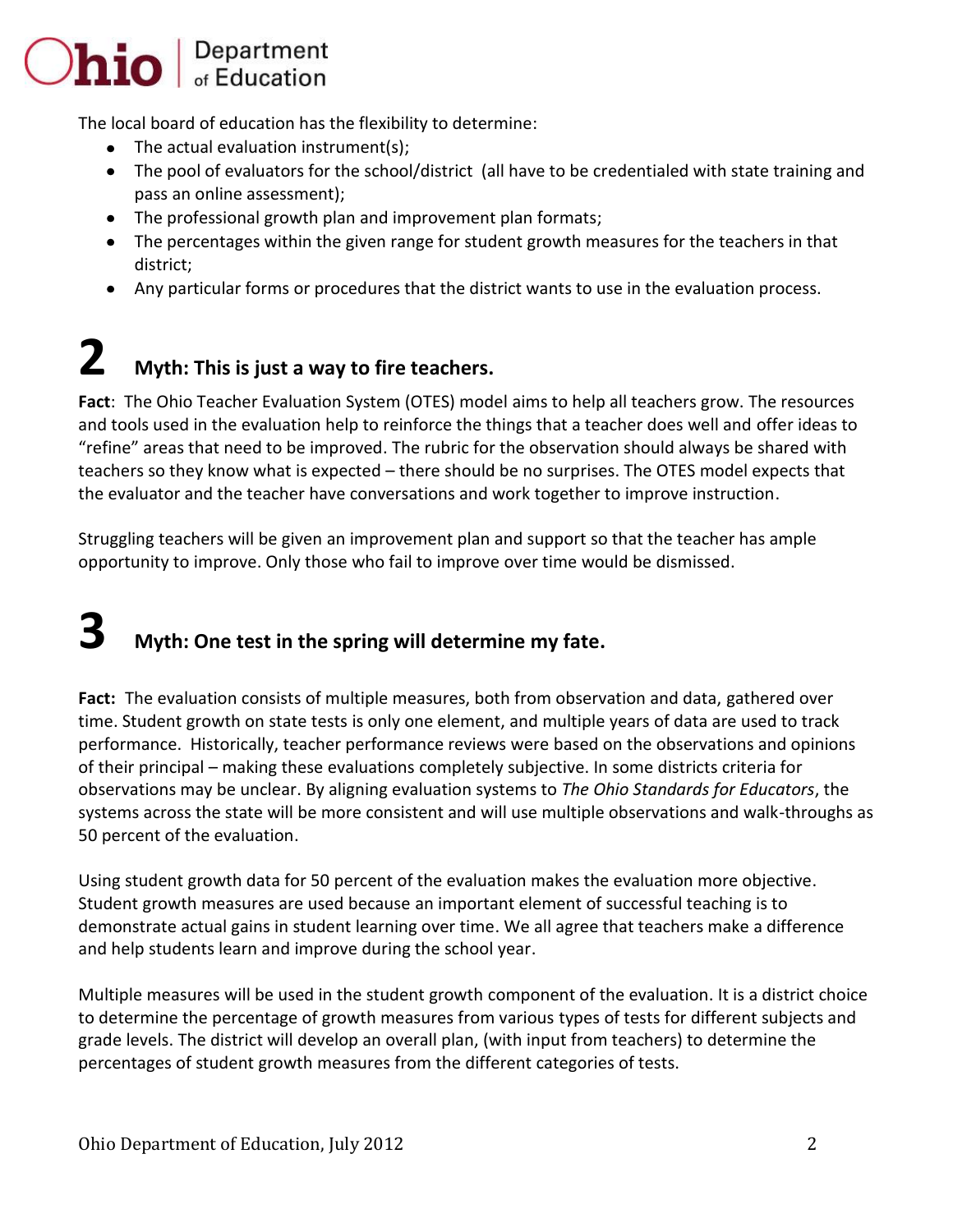# $\bigcirc$ hio  $\bigcirc$  Department

The local board of education has the flexibility to determine:

- The actual evaluation instrument(s);
- The pool of evaluators for the school/district (all have to be credentialed with state training and pass an online assessment);
- The professional growth plan and improvement plan formats;
- The percentages within the given range for student growth measures for the teachers in that district;
- Any particular forms or procedures that the district wants to use in the evaluation process.

# **2 Myth: This is just a way to fire teachers.**

**Fact**: The Ohio Teacher Evaluation System (OTES) model aims to help all teachers grow. The resources and tools used in the evaluation help to reinforce the things that a teacher does well and offer ideas to "refine" areas that need to be improved. The rubric for the observation should always be shared with teachers so they know what is expected – there should be no surprises. The OTES model expects that the evaluator and the teacher have conversations and work together to improve instruction.

Struggling teachers will be given an improvement plan and support so that the teacher has ample opportunity to improve. Only those who fail to improve over time would be dismissed.

# **3 Myth: One test in the spring will determine my fate.**

Fact: The evaluation consists of multiple measures, both from observation and data, gathered over time. Student growth on state tests is only one element, and multiple years of data are used to track performance. Historically, teacher performance reviews were based on the observations and opinions of their principal – making these evaluations completely subjective. In some districts criteria for observations may be unclear. By aligning evaluation systems to *The Ohio Standards for Educators*, the systems across the state will be more consistent and will use multiple observations and walk-throughs as 50 percent of the evaluation.

Using student growth data for 50 percent of the evaluation makes the evaluation more objective. Student growth measures are used because an important element of successful teaching is to demonstrate actual gains in student learning over time. We all agree that teachers make a difference and help students learn and improve during the school year.

Multiple measures will be used in the student growth component of the evaluation. It is a district choice to determine the percentage of growth measures from various types of tests for different subjects and grade levels. The district will develop an overall plan, (with input from teachers) to determine the percentages of student growth measures from the different categories of tests.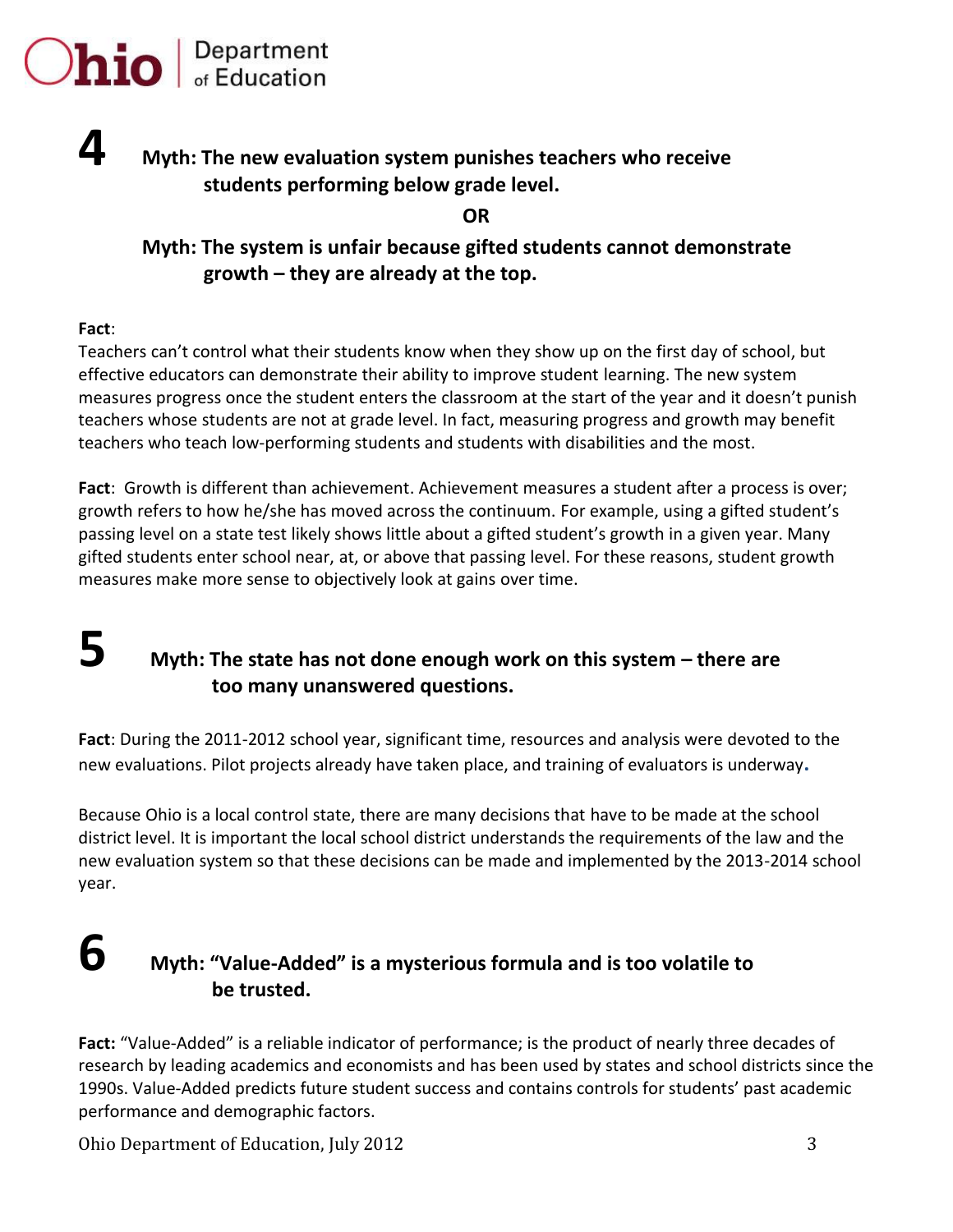

#### **Myth: The new evaluation system punishes teachers who receive students performing below grade level.**

**OR**

#### **Myth: The system is unfair because gifted students cannot demonstrate growth – they are already at the top.**

#### **Fact**:

**4**

Teachers can't control what their students know when they show up on the first day of school, but effective educators can demonstrate their ability to improve student learning. The new system measures progress once the student enters the classroom at the start of the year and it doesn't punish teachers whose students are not at grade level. In fact, measuring progress and growth may benefit teachers who teach low-performing students and students with disabilities and the most.

**Fact**: Growth is different than achievement. Achievement measures a student after a process is over; growth refers to how he/she has moved across the continuum. For example, using a gifted student's passing level on a state test likely shows little about a gifted student's growth in a given year. Many gifted students enter school near, at, or above that passing level. For these reasons, student growth measures make more sense to objectively look at gains over time.

#### **5 Myth: The state has not done enough work on this system – there are too many unanswered questions.**

**Fact**: During the 2011-2012 school year, significant time, resources and analysis were devoted to the new evaluations. Pilot projects already have taken place, and training of evaluators is underway**.** 

Because Ohio is a local control state, there are many decisions that have to be made at the school district level. It is important the local school district understands the requirements of the law and the new evaluation system so that these decisions can be made and implemented by the 2013-2014 school year.

#### **6 Myth: "Value-Added" is a mysterious formula and is too volatile to be trusted.**

**Fact:** "Value-Added" is a reliable indicator of performance; is the product of nearly three decades of research by leading academics and economists and has been used by states and school districts since the 1990s. Value-Added predicts future student success and contains controls for students' past academic performance and demographic factors.

Ohio Department of Education, July 2012 3